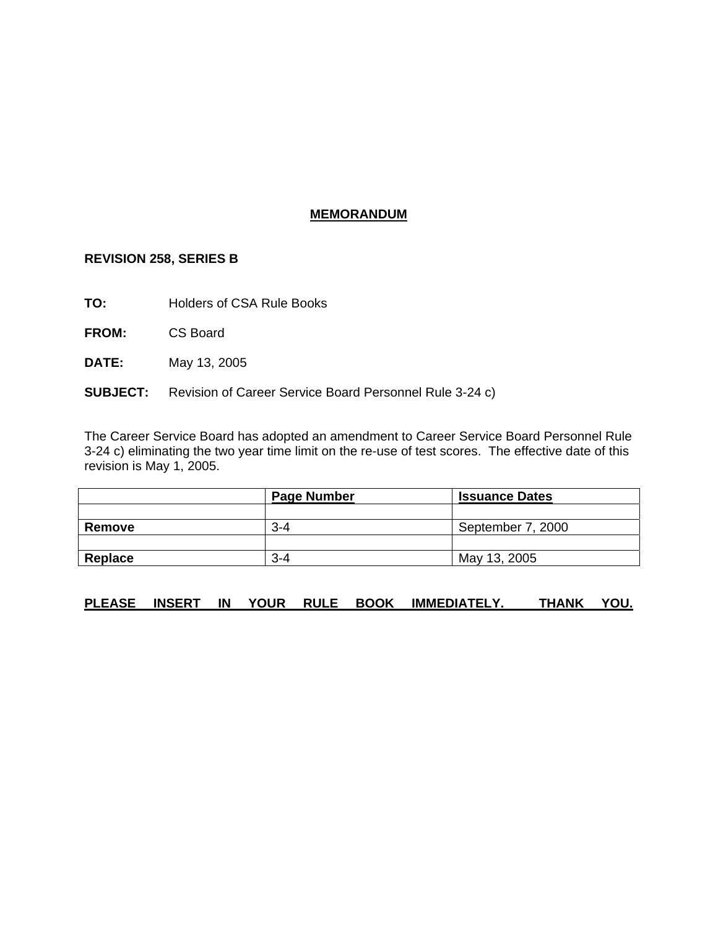## **MEMORANDUM**

## **REVISION 258, SERIES B**

**TO:** Holders of CSA Rule Books

**FROM:** CS Board

**DATE:** May 13, 2005

### **SUBJECT:** Revision of Career Service Board Personnel Rule 3-24 c)

The Career Service Board has adopted an amendment to Career Service Board Personnel Rule 3-24 c) eliminating the two year time limit on the re-use of test scores. The effective date of this revision is May 1, 2005.

|         | <b>Page Number</b> | <b>Issuance Dates</b> |
|---------|--------------------|-----------------------|
|         |                    |                       |
| Remove  | $3 - 4$            | September 7, 2000     |
|         |                    |                       |
| Replace | $3 - 4$            | May 13, 2005          |

# **PLEASE INSERT IN YOUR RULE BOOK IMMEDIATELY. THANK YOU.**